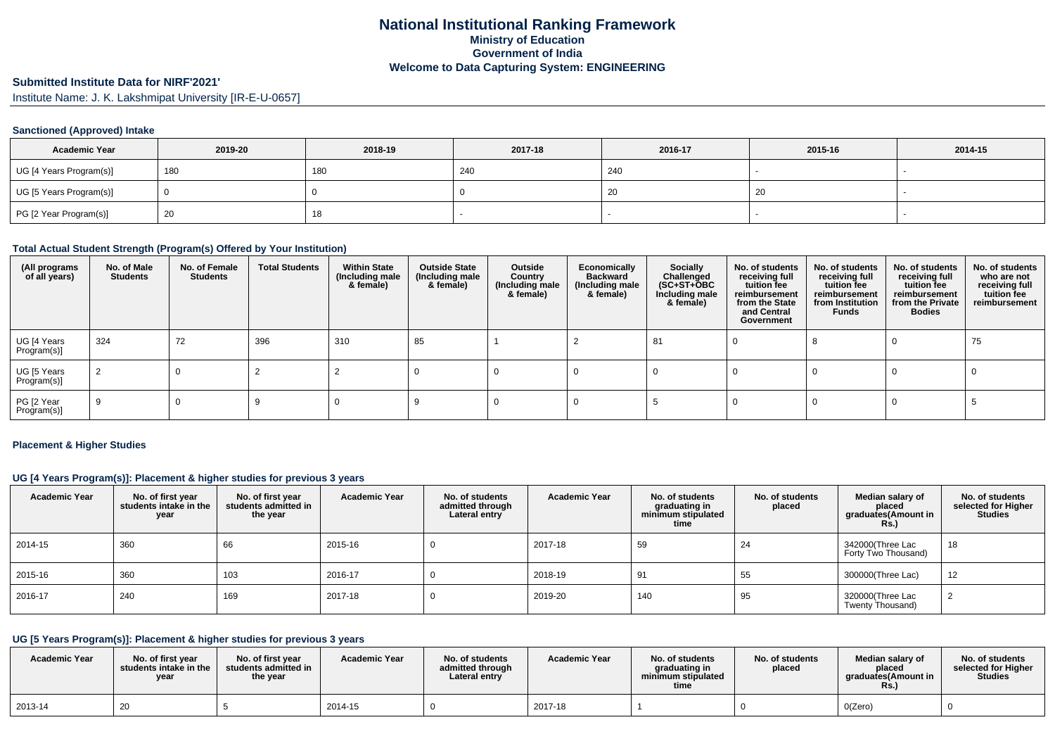# **Submitted Institute Data for NIRF'2021'**

Institute Name: J. K. Lakshmipat University [IR-E-U-0657]

### **Sanctioned (Approved) Intake**

| <b>Academic Year</b>    | 2019-20 | 2018-19 | 2017-18 | 2016-17 | 2015-16 | 2014-15 |
|-------------------------|---------|---------|---------|---------|---------|---------|
| UG [4 Years Program(s)] | 180     | 180     | 240     | 240     |         |         |
| UG [5 Years Program(s)] |         |         |         | 20      | 20      |         |
| PG [2 Year Program(s)]  | 20      | 18      |         |         |         |         |

### **Total Actual Student Strength (Program(s) Offered by Your Institution)**

| (All programs<br>of all years) | No. of Male<br><b>Students</b> | No. of Female<br>Students | <b>Total Students</b> | <b>Within State</b><br>(Including male)<br>& female) | <b>Outside State</b><br>(Including male<br>& female) | Outside<br>Country<br>(Including male<br>& female) | Economically<br><b>Backward</b><br>(Including male<br>& female) | Socially<br>Challenged<br>$(SC+ST+\tilde{O}BC)$<br>Including male<br>& female) | No. of students<br>receiving full<br>tuition fee<br>reimbursement<br>from the State<br>and Central<br>Government | No. of students<br>receiving full<br>tuition fee<br>reimbursement<br>from Institution<br>Funds | No. of students<br>receiving full<br>tuition fee<br>reimbursement<br>from the Private<br><b>Bodies</b> | No. of students<br>who are not<br>receiving full<br>tuition fee<br>reimbursement |
|--------------------------------|--------------------------------|---------------------------|-----------------------|------------------------------------------------------|------------------------------------------------------|----------------------------------------------------|-----------------------------------------------------------------|--------------------------------------------------------------------------------|------------------------------------------------------------------------------------------------------------------|------------------------------------------------------------------------------------------------|--------------------------------------------------------------------------------------------------------|----------------------------------------------------------------------------------|
| UG [4 Years<br>Program(s)]     | 324                            | 72                        | 396                   | 310                                                  | 85                                                   |                                                    |                                                                 | 81                                                                             |                                                                                                                  |                                                                                                |                                                                                                        | 75                                                                               |
| UG [5 Years<br>Program(s)]     |                                |                           |                       |                                                      |                                                      |                                                    |                                                                 |                                                                                |                                                                                                                  |                                                                                                |                                                                                                        |                                                                                  |
| PG [2 Year<br>Program(s)]      | 9                              | U                         |                       |                                                      |                                                      |                                                    |                                                                 |                                                                                |                                                                                                                  |                                                                                                |                                                                                                        |                                                                                  |

#### **Placement & Higher Studies**

### **UG [4 Years Program(s)]: Placement & higher studies for previous 3 years**

| <b>Academic Year</b> | No. of first year<br>students intake in the<br>year | No. of first year<br>students admitted in<br>the year | <b>Academic Year</b> | No. of students<br>admitted through<br>Lateral entry | <b>Academic Year</b> | No. of students<br>graduating in<br>minimum stipulated<br>time | No. of students<br>placed | Median salary of<br>placed<br>graduates(Amount in<br><b>Rs.)</b> | No. of students<br>selected for Higher<br><b>Studies</b> |
|----------------------|-----------------------------------------------------|-------------------------------------------------------|----------------------|------------------------------------------------------|----------------------|----------------------------------------------------------------|---------------------------|------------------------------------------------------------------|----------------------------------------------------------|
| 2014-15              | 360                                                 | 66                                                    | 2015-16              |                                                      | 2017-18              | 59                                                             | 24                        | 342000(Three Lac<br>Forty Two Thousand)                          | 18                                                       |
| 2015-16              | 360                                                 | 103                                                   | 2016-17              |                                                      | 2018-19              | -91                                                            | 55                        | 300000(Three Lac)                                                | 12                                                       |
| 2016-17              | 240                                                 | 169                                                   | 2017-18              |                                                      | 2019-20              | 140                                                            | 95                        | 320000(Three Lac<br>Twenty Thousand)                             |                                                          |

### **UG [5 Years Program(s)]: Placement & higher studies for previous 3 years**

| <b>Academic Year</b> | No. of first vear<br>students intake in the<br>vear | No. of first year<br>students admitted in<br>the year | <b>Academic Year</b> | No. of students<br>admitted through<br>Lateral entry | <b>Academic Year</b> | No. of students<br>graduating in<br>minimum stipulated<br>time | No. of students<br>placed | Median salary of<br>placed<br>araduates(Amount in<br><b>Rs.</b> ) | No. of students<br>selected for Higher<br><b>Studies</b> |
|----------------------|-----------------------------------------------------|-------------------------------------------------------|----------------------|------------------------------------------------------|----------------------|----------------------------------------------------------------|---------------------------|-------------------------------------------------------------------|----------------------------------------------------------|
| 2013-14              | 20                                                  |                                                       | 2014-15              |                                                      | 2017-18              |                                                                |                           | O(Zero)                                                           |                                                          |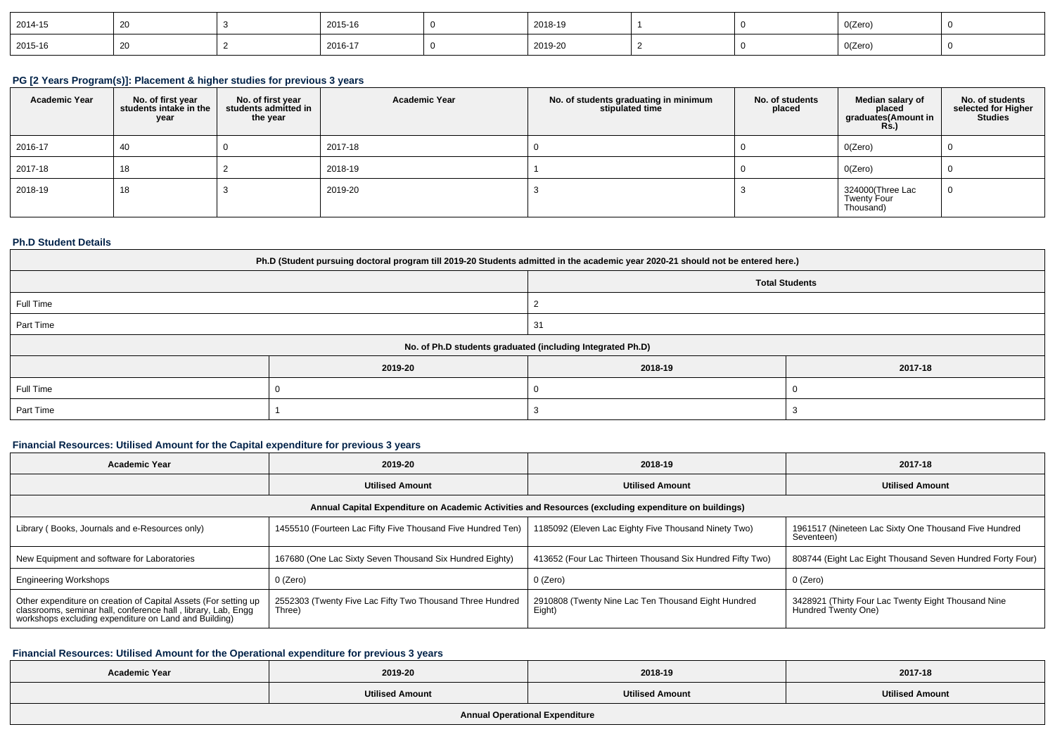| 2014-15 |  | 2015-16 | 2018-19 |  | 0(Zero) |  |
|---------|--|---------|---------|--|---------|--|
| 2015-16 |  | 2016-17 | 2019-20 |  | O(Zero) |  |

### **PG [2 Years Program(s)]: Placement & higher studies for previous 3 years**

| <b>Academic Year</b> | No. of first year<br>students intake in the<br>year | No. of first year<br>students admitted in<br>the year | <b>Academic Year</b> | No. of students graduating in minimum<br>stipulated time | No. of students<br>placed | Median salary of<br>placed<br>graduates(Amount in<br><b>Rs.)</b> | No. of students<br>selected for Higher<br><b>Studies</b> |
|----------------------|-----------------------------------------------------|-------------------------------------------------------|----------------------|----------------------------------------------------------|---------------------------|------------------------------------------------------------------|----------------------------------------------------------|
| 2016-17              | 40                                                  |                                                       | 2017-18              |                                                          |                           | O(Zero)                                                          |                                                          |
| 2017-18              | 18                                                  |                                                       | 2018-19              |                                                          |                           | O(Zero)                                                          |                                                          |
| 2018-19              | 18                                                  |                                                       | 2019-20              |                                                          |                           | 324000(Three Lac<br>Twenty Four<br>Thousand)                     |                                                          |

### **Ph.D Student Details**

| Ph.D (Student pursuing doctoral program till 2019-20 Students admitted in the academic year 2020-21 should not be entered here.) |         |         |         |  |  |  |  |
|----------------------------------------------------------------------------------------------------------------------------------|---------|---------|---------|--|--|--|--|
| <b>Total Students</b>                                                                                                            |         |         |         |  |  |  |  |
| Full Time                                                                                                                        |         |         |         |  |  |  |  |
| Part Time                                                                                                                        |         | 31      |         |  |  |  |  |
| No. of Ph.D students graduated (including Integrated Ph.D)                                                                       |         |         |         |  |  |  |  |
|                                                                                                                                  | 2019-20 | 2018-19 | 2017-18 |  |  |  |  |
| Full Time                                                                                                                        |         |         |         |  |  |  |  |
| Part Time                                                                                                                        |         |         |         |  |  |  |  |

## **Financial Resources: Utilised Amount for the Capital expenditure for previous 3 years**

| <b>Academic Year</b>                                                                                                                                                                      | 2019-20                                                             | 2018-19                                                       | 2017-18                                                                    |  |  |  |  |  |
|-------------------------------------------------------------------------------------------------------------------------------------------------------------------------------------------|---------------------------------------------------------------------|---------------------------------------------------------------|----------------------------------------------------------------------------|--|--|--|--|--|
|                                                                                                                                                                                           | <b>Utilised Amount</b>                                              | <b>Utilised Amount</b>                                        | <b>Utilised Amount</b>                                                     |  |  |  |  |  |
| Annual Capital Expenditure on Academic Activities and Resources (excluding expenditure on buildings)                                                                                      |                                                                     |                                                               |                                                                            |  |  |  |  |  |
| Library (Books, Journals and e-Resources only)                                                                                                                                            | 1455510 (Fourteen Lac Fifty Five Thousand Five Hundred Ten)         | 1185092 (Eleven Lac Eighty Five Thousand Ninety Two)          | 1961517 (Nineteen Lac Sixty One Thousand Five Hundred<br>Seventeen)        |  |  |  |  |  |
| New Equipment and software for Laboratories                                                                                                                                               | 167680 (One Lac Sixty Seven Thousand Six Hundred Eighty)            | 413652 (Four Lac Thirteen Thousand Six Hundred Fifty Two)     | 808744 (Eight Lac Eight Thousand Seven Hundred Forty Four)                 |  |  |  |  |  |
| <b>Engineering Workshops</b>                                                                                                                                                              | $0$ (Zero)                                                          | 0 (Zero)                                                      | 0 (Zero)                                                                   |  |  |  |  |  |
| Other expenditure on creation of Capital Assets (For setting up<br>classrooms, seminar hall, conference hall, library, Lab, Engg<br>workshops excluding expenditure on Land and Building) | 2552303 (Twenty Five Lac Fifty Two Thousand Three Hundred<br>[hree) | 2910808 (Twenty Nine Lac Ten Thousand Eight Hundred<br>Eight) | 3428921 (Thirty Four Lac Twenty Eight Thousand Nine<br>Hundred Twenty One) |  |  |  |  |  |

## **Financial Resources: Utilised Amount for the Operational expenditure for previous 3 years**

| <b>Academic Year</b>                  | 2019-20                | 2018-19                | 2017-18                |  |  |  |
|---------------------------------------|------------------------|------------------------|------------------------|--|--|--|
|                                       | <b>Utilised Amount</b> | <b>Utilised Amount</b> | <b>Utilised Amount</b> |  |  |  |
| <b>Annual Operational Expenditure</b> |                        |                        |                        |  |  |  |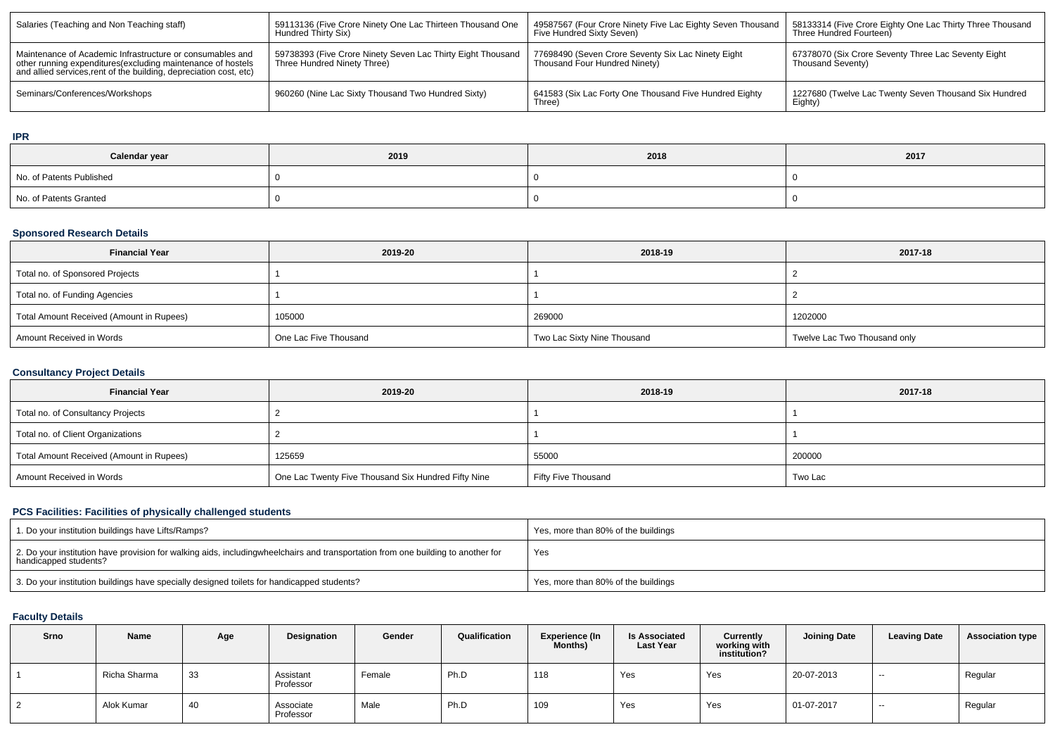| Salaries (Teaching and Non Teaching staff)                                                                                                                                                      | 59113136 (Five Crore Ninety One Lac Thirteen Thousand One<br>Hundred Thirty Six)           | 49587567 (Four Crore Ninety Five Lac Eighty Seven Thousand<br>Five Hundred Sixty Seven) | 58133314 (Five Crore Eighty One Lac Thirty Three Thousand<br>Three Hundred Fourteen) |
|-------------------------------------------------------------------------------------------------------------------------------------------------------------------------------------------------|--------------------------------------------------------------------------------------------|-----------------------------------------------------------------------------------------|--------------------------------------------------------------------------------------|
| Maintenance of Academic Infrastructure or consumables and<br>other running expenditures (excluding maintenance of hostels<br>and allied services, rent of the building, depreciation cost, etc) | 59738393 (Five Crore Ninety Seven Lac Thirty Eight Thousand<br>Three Hundred Ninety Three) | 77698490 (Seven Crore Seventy Six Lac Ninety Eight<br>Thousand Four Hundred Ninety)     | 67378070 (Six Crore Seventy Three Lac Seventy Eight<br>Thousand Seventy)             |
| Seminars/Conferences/Workshops                                                                                                                                                                  | 960260 (Nine Lac Sixty Thousand Two Hundred Sixty)                                         | 641583 (Six Lac Forty One Thousand Five Hundred Eighty<br>Three)                        | 1227680 (Twelve Lac Twenty Seven Thousand Six Hundred<br>Eighty)                     |

### **IPR**

| Calendar year            | 2019 | 2018 | 2017 |
|--------------------------|------|------|------|
| No. of Patents Published |      |      |      |
| No. of Patents Granted   |      |      |      |

# **Sponsored Research Details**

| <b>Financial Year</b>                    | 2019-20               | 2018-19                     | 2017-18                      |
|------------------------------------------|-----------------------|-----------------------------|------------------------------|
| Total no. of Sponsored Projects          |                       |                             |                              |
| Total no. of Funding Agencies            |                       |                             |                              |
| Total Amount Received (Amount in Rupees) | 105000                | 269000                      | 1202000                      |
| Amount Received in Words                 | One Lac Five Thousand | Two Lac Sixty Nine Thousand | Twelve Lac Two Thousand only |

## **Consultancy Project Details**

| <b>Financial Year</b>                    | 2019-20                                             | 2018-19             | 2017-18 |  |  |
|------------------------------------------|-----------------------------------------------------|---------------------|---------|--|--|
| Total no. of Consultancy Projects        |                                                     |                     |         |  |  |
| Total no. of Client Organizations        |                                                     |                     |         |  |  |
| Total Amount Received (Amount in Rupees) | 125659                                              | 55000               | 200000  |  |  |
| Amount Received in Words                 | One Lac Twenty Five Thousand Six Hundred Fifty Nine | Fifty Five Thousand | Two Lac |  |  |

## **PCS Facilities: Facilities of physically challenged students**

| 1. Do your institution buildings have Lifts/Ramps?                                                                                                        | Yes, more than 80% of the buildings |
|-----------------------------------------------------------------------------------------------------------------------------------------------------------|-------------------------------------|
| 2. Do your institution have provision for walking aids, includingwheelchairs and transportation from one building to another for<br>handicapped students? | Yes                                 |
| 3. Do your institution buildings have specially designed toilets for handicapped students?                                                                | Yes, more than 80% of the buildings |

### **Faculty Details**

| Srno           | <b>Name</b>  | Age | Designation            | Gender | Qualification | <b>Experience (In</b><br><b>Months)</b> | <b>Is Associated</b><br><b>Last Year</b> | <b>Currently</b><br>working with<br>institution? | <b>Joining Date</b> | <b>Leaving Date</b> | <b>Association type</b> |
|----------------|--------------|-----|------------------------|--------|---------------|-----------------------------------------|------------------------------------------|--------------------------------------------------|---------------------|---------------------|-------------------------|
|                | Richa Sharma | 33  | Assistant<br>Professor | Female | Ph.D          | 118                                     | Yes                                      | Yes                                              | 20-07-2013          | $\sim$              | Regular                 |
| $\overline{2}$ | Alok Kumar   | 40  | Associate<br>Professor | Male   | Ph.D          | 109                                     | Yes                                      | Yes                                              | 01-07-2017          | $- -$               | Regular                 |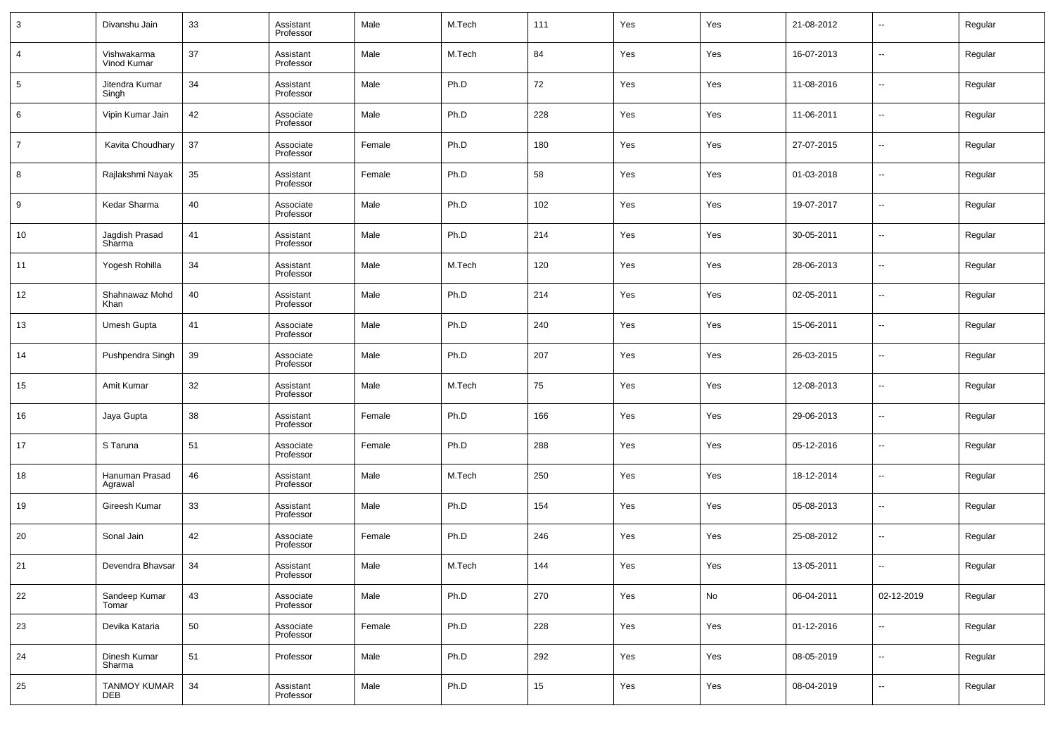| 3  | Divanshu Jain              | 33 | Assistant<br>Professor | Male   | M.Tech | 111 | Yes | Yes | 21-08-2012 | $\overline{\phantom{a}}$ | Regular |
|----|----------------------------|----|------------------------|--------|--------|-----|-----|-----|------------|--------------------------|---------|
| 4  | Vishwakarma<br>Vinod Kumar | 37 | Assistant<br>Professor | Male   | M.Tech | 84  | Yes | Yes | 16-07-2013 | $\overline{\phantom{a}}$ | Regular |
| 5  | Jitendra Kumar<br>Singh    | 34 | Assistant<br>Professor | Male   | Ph.D   | 72  | Yes | Yes | 11-08-2016 | $\overline{\phantom{a}}$ | Regular |
| 6  | Vipin Kumar Jain           | 42 | Associate<br>Professor | Male   | Ph.D   | 228 | Yes | Yes | 11-06-2011 | $\overline{\phantom{a}}$ | Regular |
| 7  | Kavita Choudhary           | 37 | Associate<br>Professor | Female | Ph.D   | 180 | Yes | Yes | 27-07-2015 | $\overline{\phantom{a}}$ | Regular |
| 8  | Rajlakshmi Nayak           | 35 | Assistant<br>Professor | Female | Ph.D   | 58  | Yes | Yes | 01-03-2018 | $\overline{\phantom{a}}$ | Regular |
| 9  | Kedar Sharma               | 40 | Associate<br>Professor | Male   | Ph.D   | 102 | Yes | Yes | 19-07-2017 | $\overline{\phantom{a}}$ | Regular |
| 10 | Jagdish Prasad<br>Sharma   | 41 | Assistant<br>Professor | Male   | Ph.D   | 214 | Yes | Yes | 30-05-2011 | $\overline{\phantom{a}}$ | Regular |
| 11 | Yogesh Rohilla             | 34 | Assistant<br>Professor | Male   | M.Tech | 120 | Yes | Yes | 28-06-2013 | $\overline{\phantom{a}}$ | Regular |
| 12 | Shahnawaz Mohd<br>Khan     | 40 | Assistant<br>Professor | Male   | Ph.D   | 214 | Yes | Yes | 02-05-2011 | $\overline{\phantom{a}}$ | Regular |
| 13 | Umesh Gupta                | 41 | Associate<br>Professor | Male   | Ph.D   | 240 | Yes | Yes | 15-06-2011 | $\overline{\phantom{a}}$ | Regular |
| 14 | Pushpendra Singh           | 39 | Associate<br>Professor | Male   | Ph.D   | 207 | Yes | Yes | 26-03-2015 | $\overline{\phantom{a}}$ | Regular |
| 15 | Amit Kumar                 | 32 | Assistant<br>Professor | Male   | M.Tech | 75  | Yes | Yes | 12-08-2013 | $\overline{\phantom{a}}$ | Regular |
| 16 | Jaya Gupta                 | 38 | Assistant<br>Professor | Female | Ph.D   | 166 | Yes | Yes | 29-06-2013 | $\overline{\phantom{a}}$ | Regular |
| 17 | S Taruna                   | 51 | Associate<br>Professor | Female | Ph.D   | 288 | Yes | Yes | 05-12-2016 | $\overline{\phantom{a}}$ | Regular |
| 18 | Hanuman Prasad<br>Agrawal  | 46 | Assistant<br>Professor | Male   | M.Tech | 250 | Yes | Yes | 18-12-2014 | $\overline{\phantom{a}}$ | Regular |
| 19 | Gireesh Kumar              | 33 | Assistant<br>Professor | Male   | Ph.D   | 154 | Yes | Yes | 05-08-2013 | $\overline{\phantom{a}}$ | Regular |
| 20 | Sonal Jain                 | 42 | Associate<br>Professor | Female | Ph.D   | 246 | Yes | Yes | 25-08-2012 | $\overline{\phantom{a}}$ | Regular |
| 21 | Devendra Bhavsar           | 34 | Assistant<br>Professor | Male   | M.Tech | 144 | Yes | Yes | 13-05-2011 | $\overline{\phantom{a}}$ | Regular |
| 22 | Sandeep Kumar<br>Tomar     | 43 | Associate<br>Professor | Male   | Ph.D   | 270 | Yes | No  | 06-04-2011 | 02-12-2019               | Regular |
| 23 | Devika Kataria             | 50 | Associate<br>Professor | Female | Ph.D   | 228 | Yes | Yes | 01-12-2016 | $\overline{\phantom{a}}$ | Regular |
| 24 | Dinesh Kumar<br>Sharma     | 51 | Professor              | Male   | Ph.D   | 292 | Yes | Yes | 08-05-2019 | $\overline{\phantom{a}}$ | Regular |
| 25 | <b>TANMOY KUMAR</b><br>DEB | 34 | Assistant<br>Professor | Male   | Ph.D   | 15  | Yes | Yes | 08-04-2019 | $\overline{\phantom{a}}$ | Regular |